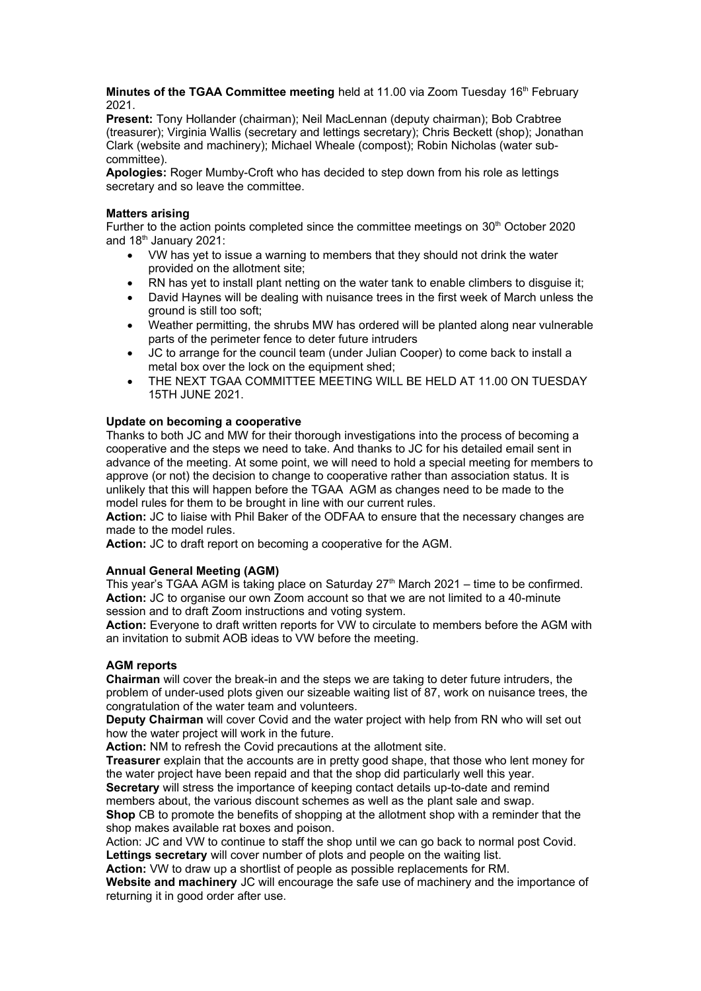**Minutes of the TGAA Committee meeting** held at 11.00 via Zoom Tuesday 16<sup>th</sup> February 2021.

**Present:** Tony Hollander (chairman); Neil MacLennan (deputy chairman); Bob Crabtree (treasurer); Virginia Wallis (secretary and lettings secretary); Chris Beckett (shop); Jonathan Clark (website and machinery); Michael Wheale (compost); Robin Nicholas (water subcommittee).

**Apologies:** Roger Mumby-Croft who has decided to step down from his role as lettings secretary and so leave the committee.

#### **Matters arising**

Further to the action points completed since the committee meetings on  $30<sup>th</sup>$  October 2020 and  $18<sup>th</sup>$  January 2021:

- VW has yet to issue a warning to members that they should not drink the water provided on the allotment site;
- RN has yet to install plant netting on the water tank to enable climbers to disguise it;
- David Haynes will be dealing with nuisance trees in the first week of March unless the ground is still too soft;
- Weather permitting, the shrubs MW has ordered will be planted along near vulnerable parts of the perimeter fence to deter future intruders
- JC to arrange for the council team (under Julian Cooper) to come back to install a metal box over the lock on the equipment shed;
- THE NEXT TGAA COMMITTEE MEETING WILL BE HELD AT 11.00 ON TUESDAY 15TH JUNE 2021.

### **Update on becoming a cooperative**

Thanks to both JC and MW for their thorough investigations into the process of becoming a cooperative and the steps we need to take. And thanks to JC for his detailed email sent in advance of the meeting. At some point, we will need to hold a special meeting for members to approve (or not) the decision to change to cooperative rather than association status. It is unlikely that this will happen before the TGAA AGM as changes need to be made to the model rules for them to be brought in line with our current rules.

**Action:** JC to liaise with Phil Baker of the ODFAA to ensure that the necessary changes are made to the model rules.

**Action:** JC to draft report on becoming a cooperative for the AGM.

#### **Annual General Meeting (AGM)**

This year's TGAA AGM is taking place on Saturday  $27<sup>th</sup>$  March 2021 – time to be confirmed. **Action:** JC to organise our own Zoom account so that we are not limited to a 40-minute session and to draft Zoom instructions and voting system.

**Action:** Everyone to draft written reports for VW to circulate to members before the AGM with an invitation to submit AOB ideas to VW before the meeting.

## **AGM reports**

**Chairman** will cover the break-in and the steps we are taking to deter future intruders, the problem of under-used plots given our sizeable waiting list of 87, work on nuisance trees, the congratulation of the water team and volunteers.

**Deputy Chairman** will cover Covid and the water project with help from RN who will set out how the water project will work in the future.

**Action:** NM to refresh the Covid precautions at the allotment site.

**Treasurer** explain that the accounts are in pretty good shape, that those who lent money for the water project have been repaid and that the shop did particularly well this year.

**Secretary** will stress the importance of keeping contact details up-to-date and remind members about, the various discount schemes as well as the plant sale and swap.

**Shop** CB to promote the benefits of shopping at the allotment shop with a reminder that the shop makes available rat boxes and poison.

Action: JC and VW to continue to staff the shop until we can go back to normal post Covid.

**Lettings secretary** will cover number of plots and people on the waiting list. **Action:** VW to draw up a shortlist of people as possible replacements for RM.

**Website and machinery** JC will encourage the safe use of machinery and the importance of returning it in good order after use.